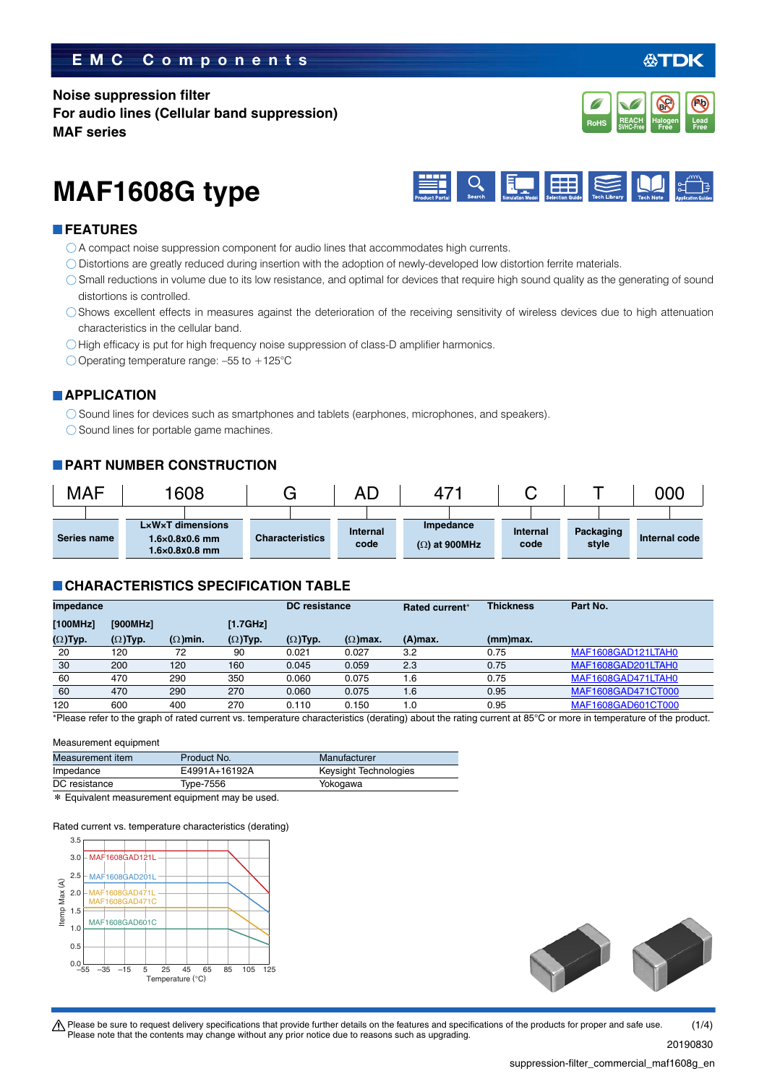### **EMC Components**

**Noise suppression filter For audio lines (Cellular band suppression) MAF series**



**REACH**

# **MAF1608G type**



### **FEATURES**

- A compact noise suppression component for audio lines that accommodates high currents.
- Distortions are greatly reduced during insertion with the adoption of newly-developed low distortion ferrite materials.
- Small reductions in volume due to its low resistance, and optimal for devices that require high sound quality as the generating of sound distortions is controlled.
- Shows excellent effects in measures against the deterioration of the receiving sensitivity of wireless devices due to high attenuation characteristics in the cellular band.
- O High efficacy is put for high frequency noise suppression of class-D amplifier harmonics.
- O Operating temperature range:  $-55$  to  $+125^{\circ}$ C

### **APPLICATION**

Sound lines for devices such as smartphones and tablets (earphones, microphones, and speakers).

O Sound lines for portable game machines.

### **PART NUMBER CONSTRUCTION**

| <b>MAF</b> |             | 1608                                                                                         |                        | AC                      | 4                                 |                  |                    | 000           |
|------------|-------------|----------------------------------------------------------------------------------------------|------------------------|-------------------------|-----------------------------------|------------------|--------------------|---------------|
|            | Series name | $L \times W \times T$ dimensions<br>$1.6\times0.8\times0.6$ mm<br>$1.6\times0.8\times0.8$ mm | <b>Characteristics</b> | <b>Internal</b><br>code | Impedance<br>$(\Omega)$ at 900MHz | Internal<br>code | Packaging<br>style | Internal code |

### **CHARACTERISTICS SPECIFICATION TABLE**

| Impedance                                                                                                                                                                              |                 |                 |                 | <b>DC</b> resistance |                 | Rated current* | <b>Thickness</b> | Part No.           |
|----------------------------------------------------------------------------------------------------------------------------------------------------------------------------------------|-----------------|-----------------|-----------------|----------------------|-----------------|----------------|------------------|--------------------|
| [100MHz]                                                                                                                                                                               | [900MHz]        |                 | [1.7GHz]        |                      |                 |                |                  |                    |
| $(\Omega)$ Typ.                                                                                                                                                                        | $(\Omega)$ Typ. | $(\Omega)$ min. | $(\Omega)$ Typ. | $(\Omega)$ Typ.      | $(\Omega)$ max. | $(A)$ max.     | $(mm)$ max.      |                    |
| 20                                                                                                                                                                                     | 120             | 72              | 90              | 0.021                | 0.027           | 3.2            | 0.75             | MAF1608GAD121LTAH0 |
| 30                                                                                                                                                                                     | 200             | 120             | 160             | 0.045                | 0.059           | 2.3            | 0.75             | MAF1608GAD201LTAH0 |
| 60                                                                                                                                                                                     | 470             | 290             | 350             | 0.060                | 0.075           | 1.6            | 0.75             | MAF1608GAD471LTAH0 |
| 60                                                                                                                                                                                     | 470             | 290             | 270             | 0.060                | 0.075           | 1.6            | 0.95             | MAF1608GAD471CT000 |
| 120                                                                                                                                                                                    | 600             | 400             | 270             | 0.110                | 0.150           | 1.0            | 0.95             | MAF1608GAD601CT000 |
| $\epsilon$ and $\epsilon$ and $\epsilon$ to the aroph of roted qurrent us tomporture characteristics (dereting) about the roting qurrent of REPC ar mare in tomporature of the product |                 |                 |                 |                      |                 |                |                  |                    |

Please refer to the graph of rated current vs. temperature characteristics (derating) about the rating current at 85°C or more in temperature of the p

### Measurement equipment

| Measurement item | Product No.                                          | Manufacturer          |
|------------------|------------------------------------------------------|-----------------------|
| Impedance        | E4991A+16192A                                        | Keysight Technologies |
| DC resistance    | Type-7556                                            | Yokogawa              |
|                  | $\star$ Equivalent measurement equipment may be used |                       |

\* Equivalent measurement equipment may be used.

Rated current vs. temperature characteristics (derating)





t Please be sure to request delivery specifications that provide further details on the features and specifications of the products for proper and safe use. Please note that the contents may change without any prior notice due to reasons such as upgrading.  $(1/4)$ 

20190830

**Pb**

**REACH** Halogen Lead<br>SVHC-Free Free Free **RoHS** SVHC-Free **Free Free** 

**Halogen Free Br Cl**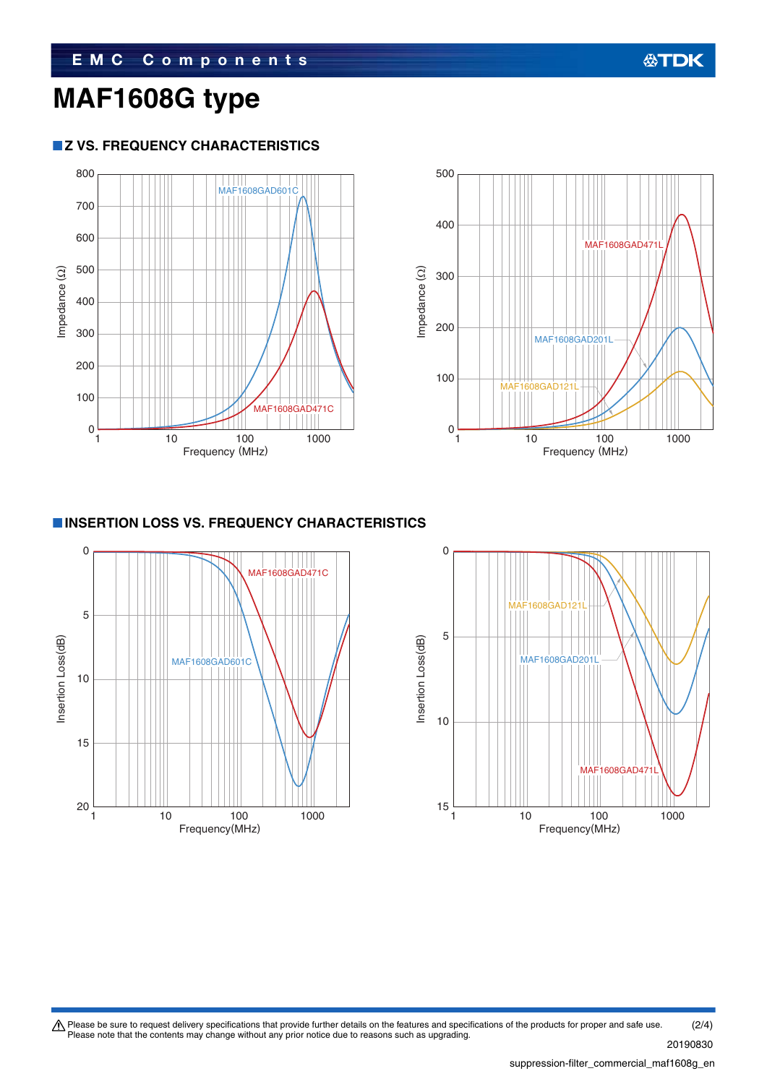# **MAF1608G type**

### **Z VS. FREQUENCY CHARACTERISTICS**





### **INSERTION LOSS VS. FREQUENCY CHARACTERISTICS**





Please be sure to request delivery specifications that provide further details on the features and specifications of the products for proper and safe use.<br>Please note that the contents may change without any prior notice d (2/4)

20190830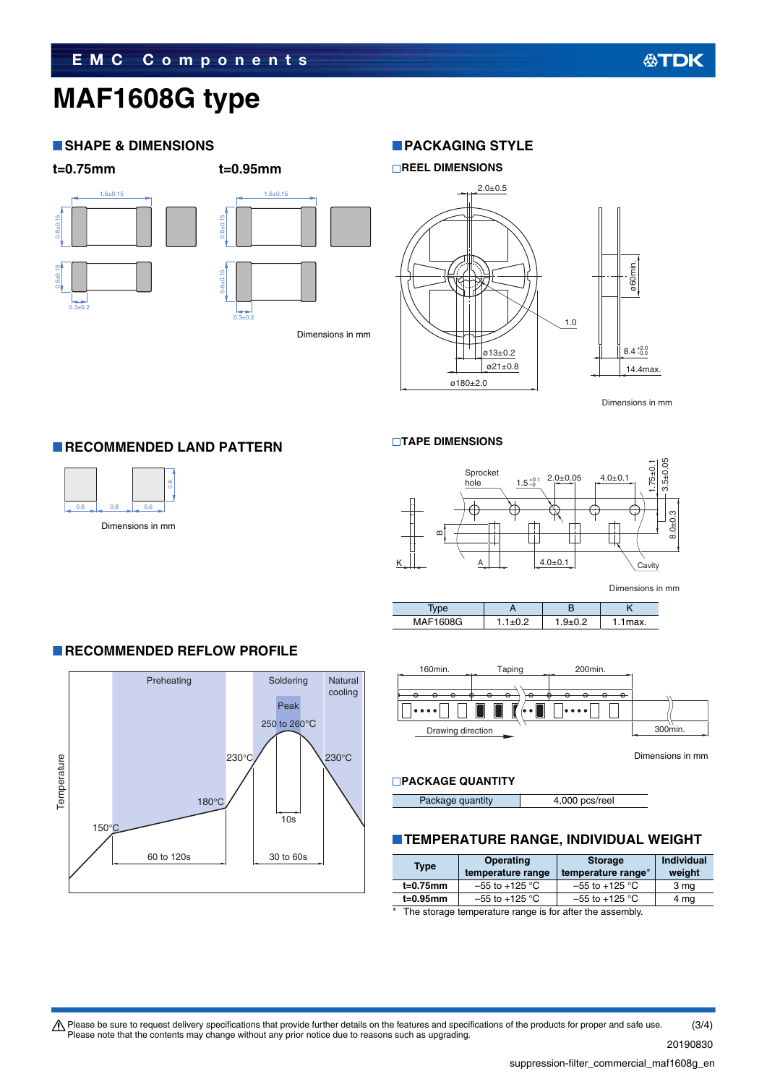# **MAF1608G type**

### **SHAPE & DIMENSIONS**

1.6±0.15

### **t=0.75mm t=0.95mm**

0.8±0.15

0.6±0.15

 $0.3 + 0.2$ 



### **PACKAGING STYLE**



Dimensions in mm

 $4.0 \pm 0.1$ 

### **RECOMMENDED LAND PATTERN**



Dimensions in mm



**TAPE DIMENSIONS** 



Dimensions in mm

| MAF1608G | $\cdot$ | `ax. |
|----------|---------|------|



Dimensions in mm

### **PACKAGE QUANTITY**

Package quantity **4,000 pcs/reel** 

### **TEMPERATURE RANGE, INDIVIDUAL WEIGHT**

| <b>Type</b> | <b>Operating</b><br>temperature range | <b>Storage</b><br>temperature range* | <b>Individual</b><br>weight |
|-------------|---------------------------------------|--------------------------------------|-----------------------------|
| $t=0.75$ mm | $-55$ to +125 °C                      | $-55$ to $+125$ °C                   | 3 mg                        |
| t=0.95mm    | $-55$ to +125 °C                      | $-55$ to +125 °C                     | 4 mg                        |
|             |                                       |                                      |                             |

\* The storage temperature range is for after the assembly.

Please be sure to request delivery specifications that provide further details on the features and specifications of the products for proper and safe use.<br>Please note that the contents may change without any prior notice d (3/4)